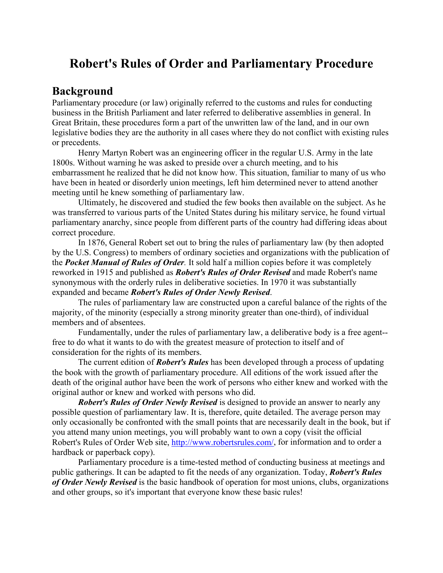# **Robert's Rules of Order and Parliamentary Procedure**

### **Background**

Parliamentary procedure (or law) originally referred to the customs and rules for conducting business in the British Parliament and later referred to deliberative assemblies in general. In Great Britain, these procedures form a part of the unwritten law of the land, and in our own legislative bodies they are the authority in all cases where they do not conflict with existing rules or precedents.

 Henry Martyn Robert was an engineering officer in the regular U.S. Army in the late 1800s. Without warning he was asked to preside over a church meeting, and to his embarrassment he realized that he did not know how. This situation, familiar to many of us who have been in heated or disorderly union meetings, left him determined never to attend another meeting until he knew something of parliamentary law.

 Ultimately, he discovered and studied the few books then available on the subject. As he was transferred to various parts of the United States during his military service, he found virtual parliamentary anarchy, since people from different parts of the country had differing ideas about correct procedure.

 In 1876, General Robert set out to bring the rules of parliamentary law (by then adopted by the U.S. Congress) to members of ordinary societies and organizations with the publication of the *Pocket Manual of Rules of Order.* It sold half a million copies before it was completely reworked in 1915 and published as *Robert's Rules of Order Revised* and made Robert's name synonymous with the orderly rules in deliberative societies. In 1970 it was substantially expanded and became *Robert's Rules of Order Newly Revised*.

 The rules of parliamentary law are constructed upon a careful balance of the rights of the majority, of the minority (especially a strong minority greater than one-third), of individual members and of absentees.

 Fundamentally, under the rules of parliamentary law, a deliberative body is a free agent- free to do what it wants to do with the greatest measure of protection to itself and of consideration for the rights of its members.

 The current edition of *Robert's Rules* has been developed through a process of updating the book with the growth of parliamentary procedure. All editions of the work issued after the death of the original author have been the work of persons who either knew and worked with the original author or knew and worked with persons who did.

 *Robert's Rules of Order Newly Revised* is designed to provide an answer to nearly any possible question of parliamentary law. It is, therefore, quite detailed. The average person may only occasionally be confronted with the small points that are necessarily dealt in the book, but if you attend many union meetings, you will probably want to own a copy (visit the official Robert's Rules of Order Web site, http://www.robertsrules.com/, for information and to order a hardback or paperback copy).

 Parliamentary procedure is a time-tested method of conducting business at meetings and public gatherings. It can be adapted to fit the needs of any organization. Today, *Robert's Rules of Order Newly Revised* is the basic handbook of operation for most unions, clubs, organizations and other groups, so it's important that everyone know these basic rules!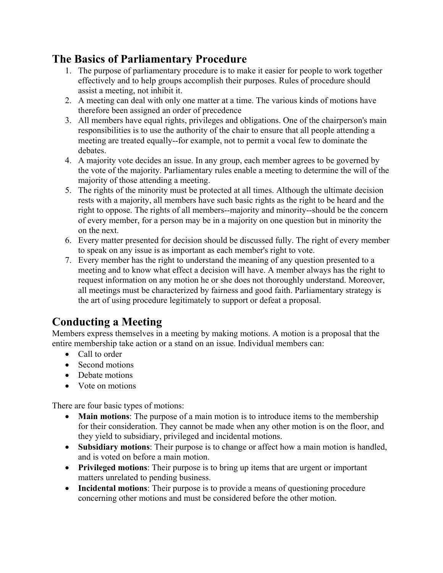## **The Basics of Parliamentary Procedure**

- 1. The purpose of parliamentary procedure is to make it easier for people to work together effectively and to help groups accomplish their purposes. Rules of procedure should assist a meeting, not inhibit it.
- 2. A meeting can deal with only one matter at a time. The various kinds of motions have therefore been assigned an order of precedence
- 3. All members have equal rights, privileges and obligations. One of the chairperson's main responsibilities is to use the authority of the chair to ensure that all people attending a meeting are treated equally--for example, not to permit a vocal few to dominate the debates.
- 4. A majority vote decides an issue. In any group, each member agrees to be governed by the vote of the majority. Parliamentary rules enable a meeting to determine the will of the majority of those attending a meeting.
- 5. The rights of the minority must be protected at all times. Although the ultimate decision rests with a majority, all members have such basic rights as the right to be heard and the right to oppose. The rights of all members--majority and minority--should be the concern of every member, for a person may be in a majority on one question but in minority the on the next.
- 6. Every matter presented for decision should be discussed fully. The right of every member to speak on any issue is as important as each member's right to vote.
- 7. Every member has the right to understand the meaning of any question presented to a meeting and to know what effect a decision will have. A member always has the right to request information on any motion he or she does not thoroughly understand. Moreover, all meetings must be characterized by fairness and good faith. Parliamentary strategy is the art of using procedure legitimately to support or defeat a proposal.

# **Conducting a Meeting**

Members express themselves in a meeting by making motions. A motion is a proposal that the entire membership take action or a stand on an issue. Individual members can:

- Call to order
- Second motions
- Debate motions
- Vote on motions

There are four basic types of motions:

- **Main motions**: The purpose of a main motion is to introduce items to the membership for their consideration. They cannot be made when any other motion is on the floor, and they yield to subsidiary, privileged and incidental motions.
- **Subsidiary motions**: Their purpose is to change or affect how a main motion is handled, and is voted on before a main motion.
- **Privileged motions**: Their purpose is to bring up items that are urgent or important matters unrelated to pending business.
- **Incidental motions**: Their purpose is to provide a means of questioning procedure concerning other motions and must be considered before the other motion.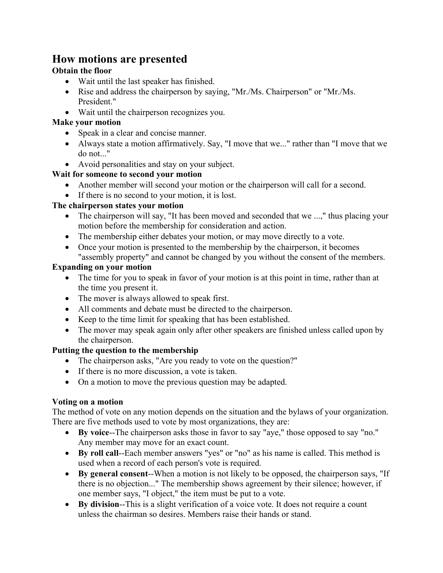### **How motions are presented**

#### **Obtain the floor**

- Wait until the last speaker has finished.
- Rise and address the chairperson by saying, "Mr./Ms. Chairperson" or "Mr./Ms. President."
- Wait until the chairperson recognizes you.

#### **Make your motion**

- Speak in a clear and concise manner.
- Always state a motion affirmatively. Say, "I move that we..." rather than "I move that we do not..."
- Avoid personalities and stay on your subject.

#### **Wait for someone to second your motion**

- Another member will second your motion or the chairperson will call for a second.
- If there is no second to your motion, it is lost.

#### **The chairperson states your motion**

- The chairperson will say, "It has been moved and seconded that we ...," thus placing your motion before the membership for consideration and action.
- The membership either debates your motion, or may move directly to a vote.
- Once your motion is presented to the membership by the chairperson, it becomes "assembly property" and cannot be changed by you without the consent of the members.

#### **Expanding on your motion**

- The time for you to speak in favor of your motion is at this point in time, rather than at the time you present it.
- The mover is always allowed to speak first.
- All comments and debate must be directed to the chairperson.
- Keep to the time limit for speaking that has been established.
- The mover may speak again only after other speakers are finished unless called upon by the chairperson.

#### **Putting the question to the membership**

- The chairperson asks, "Are you ready to vote on the question?"
- If there is no more discussion, a vote is taken.
- On a motion to move the previous question may be adapted.

#### **Voting on a motion**

The method of vote on any motion depends on the situation and the bylaws of your organization. There are five methods used to vote by most organizations, they are:

- **By voice**--The chairperson asks those in favor to say "aye," those opposed to say "no." Any member may move for an exact count.
- **By roll call**--Each member answers "yes" or "no" as his name is called. This method is used when a record of each person's vote is required.
- **By general consent**--When a motion is not likely to be opposed, the chairperson says, "If there is no objection..." The membership shows agreement by their silence; however, if one member says, "I object," the item must be put to a vote.
- **By division**--This is a slight verification of a voice vote. It does not require a count unless the chairman so desires. Members raise their hands or stand.